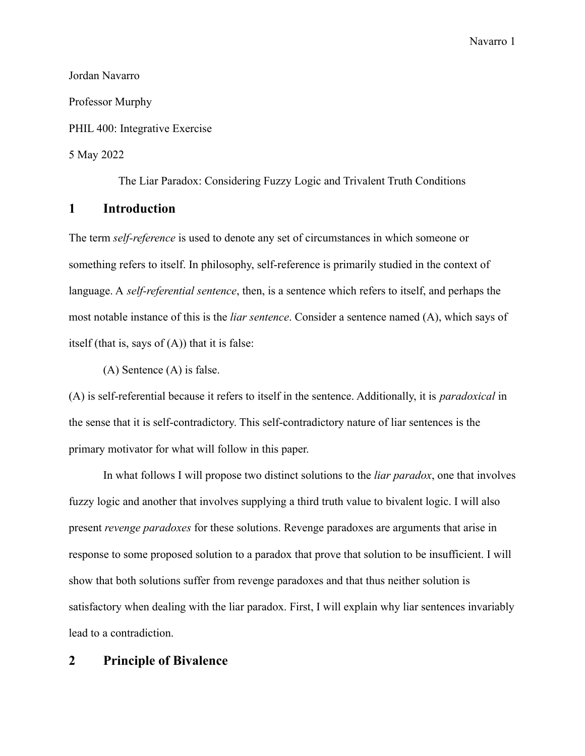Jordan Navarro Professor Murphy PHIL 400: Integrative Exercise 5 May 2022

The Liar Paradox: Considering Fuzzy Logic and Trivalent Truth Conditions

### **1 Introduction**

The term *self-reference* is used to denote any set of circumstances in which someone or something refers to itself. In philosophy, self-reference is primarily studied in the context of language. A *self-referential sentence*, then, is a sentence which refers to itself, and perhaps the most notable instance of this is the *liar sentence*. Consider a sentence named (A), which says of itself (that is, says of  $(A)$ ) that it is false:

(A) Sentence (A) is false.

(A) is self-referential because it refers to itself in the sentence. Additionally, it is *paradoxical* in the sense that it is self-contradictory. This self-contradictory nature of liar sentences is the primary motivator for what will follow in this paper.

In what follows I will propose two distinct solutions to the *liar paradox*, one that involves fuzzy logic and another that involves supplying a third truth value to bivalent logic. I will also present *revenge paradoxes* for these solutions. Revenge paradoxes are arguments that arise in response to some proposed solution to a paradox that prove that solution to be insufficient. I will show that both solutions suffer from revenge paradoxes and that thus neither solution is satisfactory when dealing with the liar paradox. First, I will explain why liar sentences invariably lead to a contradiction.

### **2 Principle of Bivalence**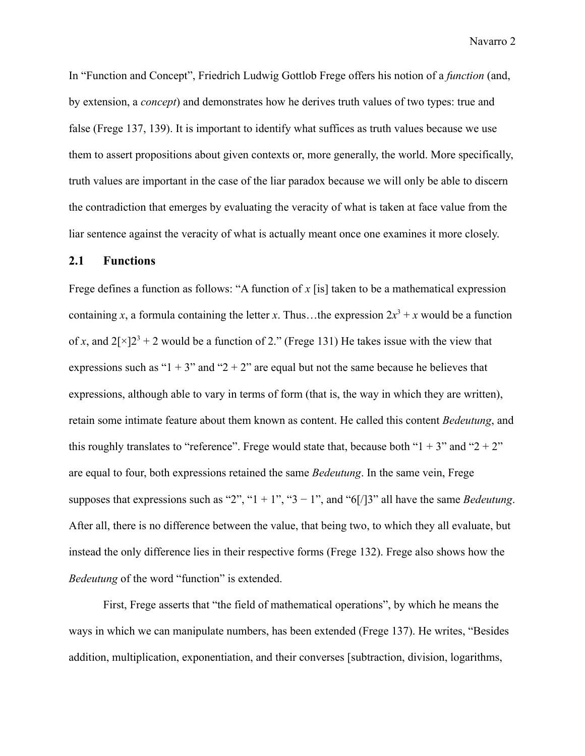In "Function and Concept", Friedrich Ludwig Gottlob Frege offers his notion of a *function* (and, by extension, a *concept*) and demonstrates how he derives truth values of two types: true and false (Frege 137, 139). It is important to identify what suffices as truth values because we use them to assert propositions about given contexts or, more generally, the world. More specifically, truth values are important in the case of the liar paradox because we will only be able to discern the contradiction that emerges by evaluating the veracity of what is taken at face value from the liar sentence against the veracity of what is actually meant once one examines it more closely.

### **2.1 Functions**

Frege defines a function as follows: "A function of *x* [is] taken to be a mathematical expression containing *x*, a formula containing the letter *x*. Thus...the expression  $2x^3 + x$  would be a function of *x*, and  $2[x]2^3 + 2$  would be a function of 2." (Frege 131) He takes issue with the view that expressions such as " $1 + 3$ " and " $2 + 2$ " are equal but not the same because he believes that expressions, although able to vary in terms of form (that is, the way in which they are written), retain some intimate feature about them known as content. He called this content *Bedeutung*, and this roughly translates to "reference". Frege would state that, because both " $1 + 3$ " and " $2 + 2$ " are equal to four, both expressions retained the same *Bedeutung*. In the same vein, Frege supposes that expressions such as "2", "1 + 1", "3 – 1", and "6[/]3" all have the same *Bedeutung*. After all, there is no difference between the value, that being two, to which they all evaluate, but instead the only difference lies in their respective forms (Frege 132). Frege also shows how the *Bedeutung* of the word "function" is extended.

First, Frege asserts that "the field of mathematical operations", by which he means the ways in which we can manipulate numbers, has been extended (Frege 137). He writes, "Besides addition, multiplication, exponentiation, and their converses [subtraction, division, logarithms,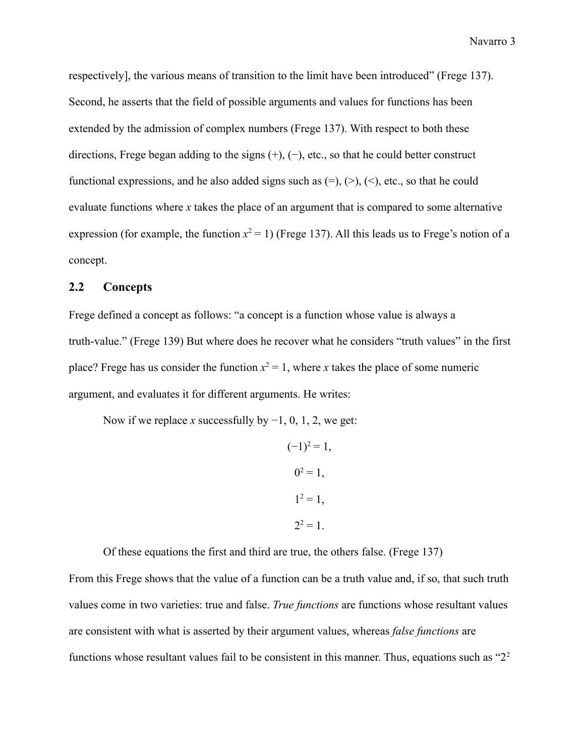respectively], the various means of transition to the limit have been introduced" (Frege 137). Second, he asserts that the field of possible arguments and values for functions has been extended by the admission of complex numbers (Frege 137). With respect to both these directions, Frege began adding to the signs (+), (−), etc., so that he could better construct functional expressions, and he also added signs such as  $(=), (>, (), etc.,$  so that he could evaluate functions where *x* takes the place of an argument that is compared to some alternative expression (for example, the function  $x^2 = 1$ ) (Frege 137). All this leads us to Frege's notion of a concept.

### **2.2 Concepts**

Frege defined a concept as follows: "a concept is a function whose value is always a truth-value." (Frege 139) But where does he recover what he considers "truth values" in the first place? Frege has us consider the function  $x^2 = 1$ , where *x* takes the place of some numeric argument, and evaluates it for different arguments. He writes:

Now if we replace *x* successfully by −1, 0, 1, 2, we get:

$$
(-1)^2 = 1,
$$
  
\n $0^2 = 1,$   
\n $1^2 = 1,$   
\n $2^2 = 1.$ 

Of these equations the first and third are true, the others false. (Frege 137)

From this Frege shows that the value of a function can be a truth value and, if so, that such truth values come in two varieties: true and false. *True functions* are functions whose resultant values are consistent with what is asserted by their argument values, whereas *false functions* are functions whose resultant values fail to be consistent in this manner. Thus, equations such as "2<sup>2</sup>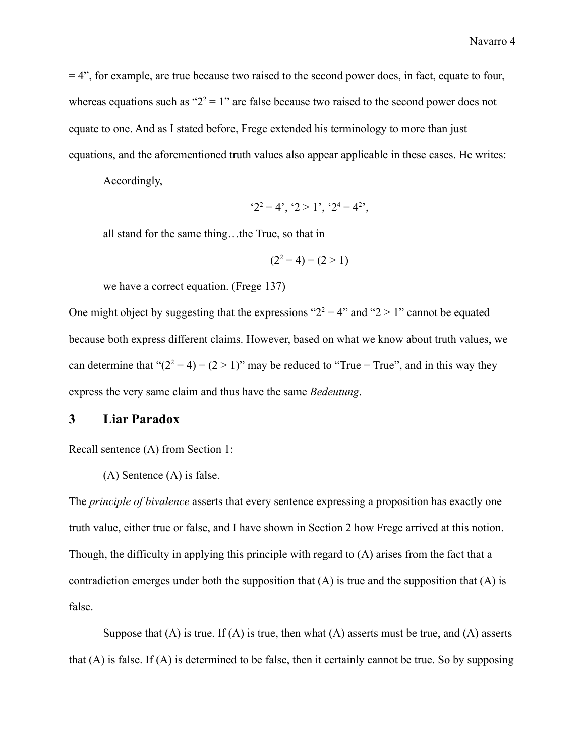$= 4$ ", for example, are true because two raised to the second power does, in fact, equate to four, whereas equations such as " $2^2 = 1$ " are false because two raised to the second power does not equate to one. And as I stated before, Frege extended his terminology to more than just equations, and the aforementioned truth values also appear applicable in these cases. He writes:

Accordingly,

$$
2^2 = 4^{\circ}, 2 > 1^{\circ}, 2^4 = 4^{2^{\circ}},
$$

all stand for the same thing…the True, so that in

$$
(2^2 = 4) = (2 > 1)
$$

we have a correct equation. (Frege 137)

One might object by suggesting that the expressions " $2^2 = 4$ " and " $2 > 1$ " cannot be equated because both express different claims. However, based on what we know about truth values, we can determine that " $(2^2 = 4) = (2 > 1)$ " may be reduced to "True = True", and in this way they express the very same claim and thus have the same *Bedeutung*.

#### **3 Liar Paradox**

Recall sentence (A) from Section 1:

(A) Sentence (A) is false.

The *principle of bivalence* asserts that every sentence expressing a proposition has exactly one truth value, either true or false, and I have shown in Section 2 how Frege arrived at this notion. Though, the difficulty in applying this principle with regard to (A) arises from the fact that a contradiction emerges under both the supposition that  $(A)$  is true and the supposition that  $(A)$  is false.

Suppose that  $(A)$  is true. If  $(A)$  is true, then what  $(A)$  asserts must be true, and  $(A)$  asserts that (A) is false. If (A) is determined to be false, then it certainly cannot be true. So by supposing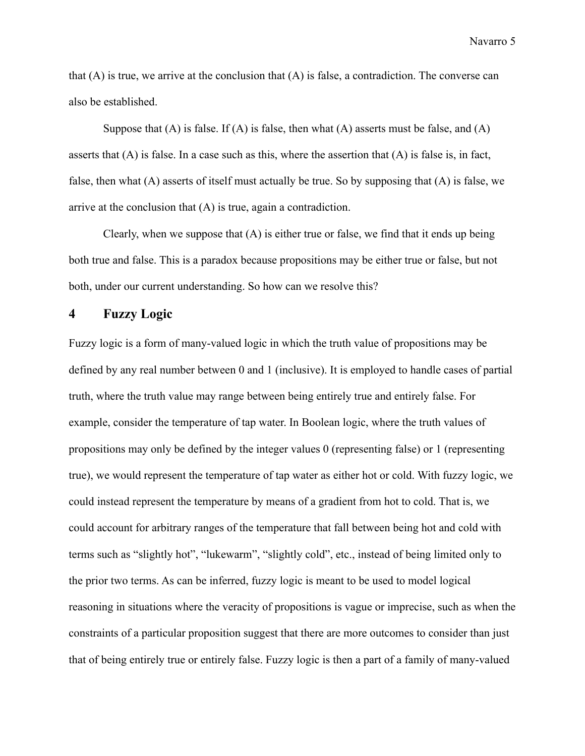that  $(A)$  is true, we arrive at the conclusion that  $(A)$  is false, a contradiction. The converse can also be established.

Suppose that  $(A)$  is false. If  $(A)$  is false, then what  $(A)$  asserts must be false, and  $(A)$ asserts that  $(A)$  is false. In a case such as this, where the assertion that  $(A)$  is false is, in fact, false, then what (A) asserts of itself must actually be true. So by supposing that (A) is false, we arrive at the conclusion that (A) is true, again a contradiction.

Clearly, when we suppose that (A) is either true or false, we find that it ends up being both true and false. This is a paradox because propositions may be either true or false, but not both, under our current understanding. So how can we resolve this?

## **4 Fuzzy Logic**

Fuzzy logic is a form of many-valued logic in which the truth value of propositions may be defined by any real number between 0 and 1 (inclusive). It is employed to handle cases of partial truth, where the truth value may range between being entirely true and entirely false. For example, consider the temperature of tap water. In Boolean logic, where the truth values of propositions may only be defined by the integer values 0 (representing false) or 1 (representing true), we would represent the temperature of tap water as either hot or cold. With fuzzy logic, we could instead represent the temperature by means of a gradient from hot to cold. That is, we could account for arbitrary ranges of the temperature that fall between being hot and cold with terms such as "slightly hot", "lukewarm", "slightly cold", etc., instead of being limited only to the prior two terms. As can be inferred, fuzzy logic is meant to be used to model logical reasoning in situations where the veracity of propositions is vague or imprecise, such as when the constraints of a particular proposition suggest that there are more outcomes to consider than just that of being entirely true or entirely false. Fuzzy logic is then a part of a family of many-valued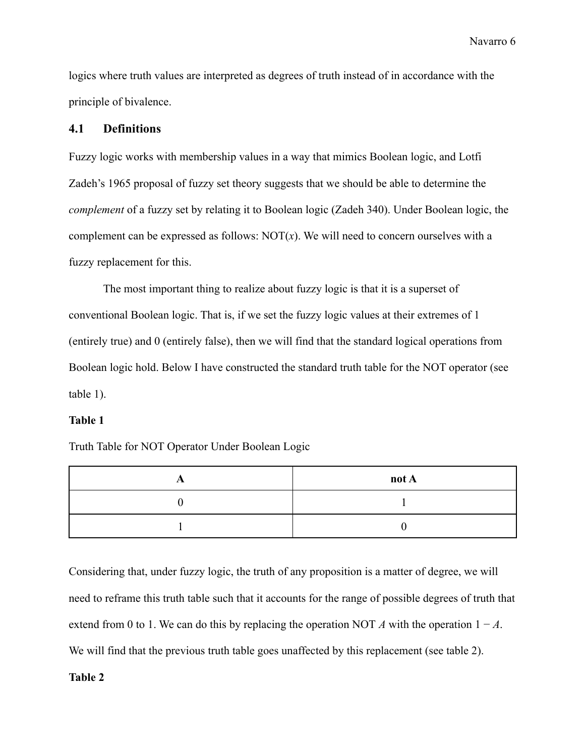logics where truth values are interpreted as degrees of truth instead of in accordance with the principle of bivalence.

### **4.1 Definitions**

Fuzzy logic works with membership values in a way that mimics Boolean logic, and Lotfi Zadeh's 1965 proposal of fuzzy set theory suggests that we should be able to determine the *complement* of a fuzzy set by relating it to Boolean logic (Zadeh 340). Under Boolean logic, the complement can be expressed as follows:  $NOT(x)$ . We will need to concern ourselves with a fuzzy replacement for this.

The most important thing to realize about fuzzy logic is that it is a superset of conventional Boolean logic. That is, if we set the fuzzy logic values at their extremes of 1 (entirely true) and 0 (entirely false), then we will find that the standard logical operations from Boolean logic hold. Below I have constructed the standard truth table for the NOT operator (see table 1).

### **Table 1**

Truth Table for NOT Operator Under Boolean Logic

| not A |
|-------|
|       |
|       |

Considering that, under fuzzy logic, the truth of any proposition is a matter of degree, we will need to reframe this truth table such that it accounts for the range of possible degrees of truth that extend from 0 to 1. We can do this by replacing the operation NOT *A* with the operation  $1 - A$ . We will find that the previous truth table goes unaffected by this replacement (see table 2).

### **Table 2**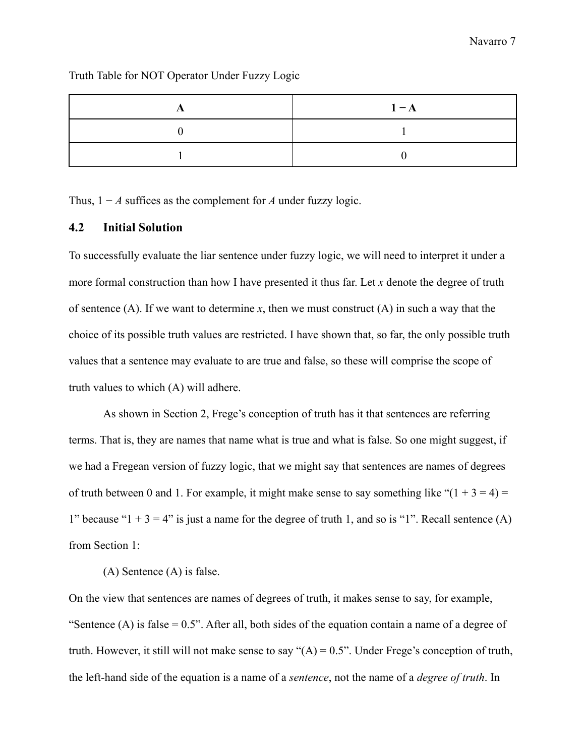|  |  | Truth Table for NOT Operator Under Fuzzy Logic |  |  |
|--|--|------------------------------------------------|--|--|
|  |  |                                                |  |  |

| $1 - A$ |
|---------|
|         |
|         |

Thus, 1 − *A* suffices as the complement for *A* under fuzzy logic.

### **4.2 Initial Solution**

To successfully evaluate the liar sentence under fuzzy logic, we will need to interpret it under a more formal construction than how I have presented it thus far. Let *x* denote the degree of truth of sentence (A). If we want to determine  $x$ , then we must construct (A) in such a way that the choice of its possible truth values are restricted. I have shown that, so far, the only possible truth values that a sentence may evaluate to are true and false, so these will comprise the scope of truth values to which (A) will adhere.

As shown in Section 2, Frege's conception of truth has it that sentences are referring terms. That is, they are names that name what is true and what is false. So one might suggest, if we had a Fregean version of fuzzy logic, that we might say that sentences are names of degrees of truth between 0 and 1. For example, it might make sense to say something like " $(1 + 3 = 4)$  = 1" because " $1 + 3 = 4$ " is just a name for the degree of truth 1, and so is "1". Recall sentence (A) from Section 1:

(A) Sentence (A) is false.

On the view that sentences are names of degrees of truth, it makes sense to say, for example, "Sentence (A) is false  $= 0.5$ ". After all, both sides of the equation contain a name of a degree of truth. However, it still will not make sense to say " $(A) = 0.5$ ". Under Frege's conception of truth, the left-hand side of the equation is a name of a *sentence*, not the name of a *degree of truth*. In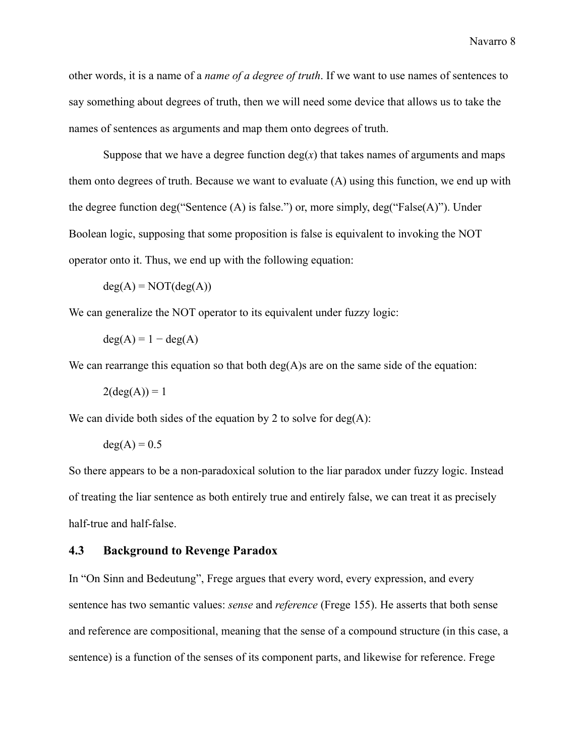other words, it is a name of a *name of a degree of truth*. If we want to use names of sentences to say something about degrees of truth, then we will need some device that allows us to take the names of sentences as arguments and map them onto degrees of truth.

Suppose that we have a degree function  $deg(x)$  that takes names of arguments and maps them onto degrees of truth. Because we want to evaluate (A) using this function, we end up with the degree function deg("Sentence (A) is false.") or, more simply, deg("False(A)"). Under Boolean logic, supposing that some proposition is false is equivalent to invoking the NOT operator onto it. Thus, we end up with the following equation:

$$
deg(A) = NOT(deg(A))
$$

We can generalize the NOT operator to its equivalent under fuzzy logic:

$$
deg(A) = 1 - deg(A)
$$

We can rearrange this equation so that both  $deg(A)$ s are on the same side of the equation:

$$
2(\deg(A)) = 1
$$

We can divide both sides of the equation by 2 to solve for  $deg(A)$ :

$$
deg(A) = 0.5
$$

So there appears to be a non-paradoxical solution to the liar paradox under fuzzy logic. Instead of treating the liar sentence as both entirely true and entirely false, we can treat it as precisely half-true and half-false.

### **4.3 Background to Revenge Paradox**

In "On Sinn and Bedeutung", Frege argues that every word, every expression, and every sentence has two semantic values: *sense* and *reference* (Frege 155). He asserts that both sense and reference are compositional, meaning that the sense of a compound structure (in this case, a sentence) is a function of the senses of its component parts, and likewise for reference. Frege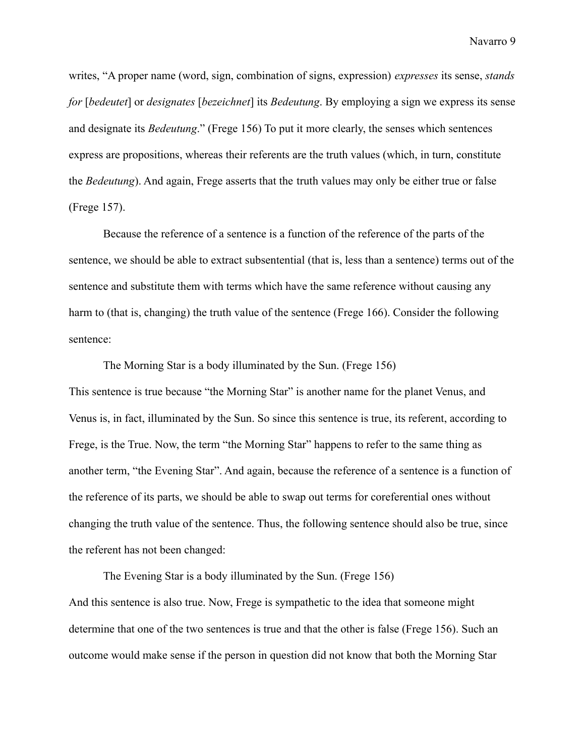writes, "A proper name (word, sign, combination of signs, expression) *expresses* its sense, *stands for* [*bedeutet*] or *designates* [*bezeichnet*] its *Bedeutung*. By employing a sign we express its sense and designate its *Bedeutung*." (Frege 156) To put it more clearly, the senses which sentences express are propositions, whereas their referents are the truth values (which, in turn, constitute the *Bedeutung*). And again, Frege asserts that the truth values may only be either true or false (Frege 157).

Because the reference of a sentence is a function of the reference of the parts of the sentence, we should be able to extract subsentential (that is, less than a sentence) terms out of the sentence and substitute them with terms which have the same reference without causing any harm to (that is, changing) the truth value of the sentence (Frege 166). Consider the following sentence:

The Morning Star is a body illuminated by the Sun. (Frege 156) This sentence is true because "the Morning Star" is another name for the planet Venus, and Venus is, in fact, illuminated by the Sun. So since this sentence is true, its referent, according to Frege, is the True. Now, the term "the Morning Star" happens to refer to the same thing as another term, "the Evening Star". And again, because the reference of a sentence is a function of the reference of its parts, we should be able to swap out terms for coreferential ones without changing the truth value of the sentence. Thus, the following sentence should also be true, since the referent has not been changed:

The Evening Star is a body illuminated by the Sun. (Frege 156) And this sentence is also true. Now, Frege is sympathetic to the idea that someone might determine that one of the two sentences is true and that the other is false (Frege 156). Such an outcome would make sense if the person in question did not know that both the Morning Star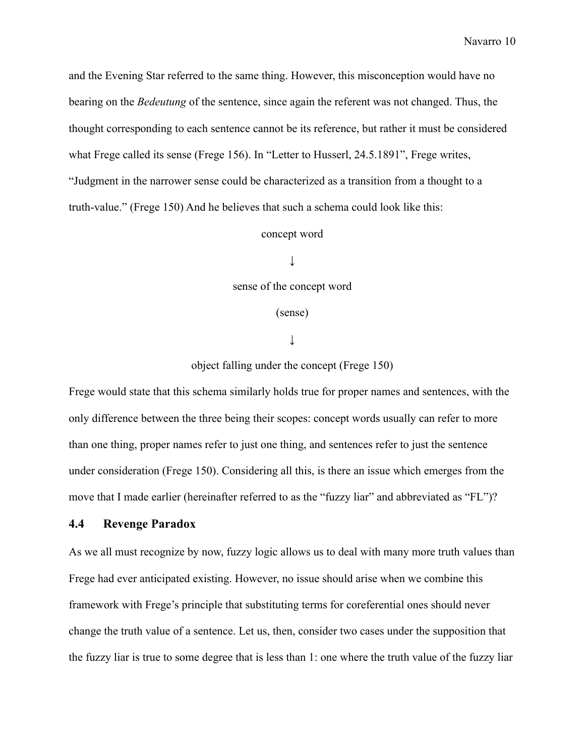and the Evening Star referred to the same thing. However, this misconception would have no bearing on the *Bedeutung* of the sentence, since again the referent was not changed. Thus, the thought corresponding to each sentence cannot be its reference, but rather it must be considered what Frege called its sense (Frege 156). In "Letter to Husserl, 24.5.1891", Frege writes, "Judgment in the narrower sense could be characterized as a transition from a thought to a truth-value." (Frege 150) And he believes that such a schema could look like this:

### concept word

↓

sense of the concept word

(sense)

↓

object falling under the concept (Frege 150)

Frege would state that this schema similarly holds true for proper names and sentences, with the only difference between the three being their scopes: concept words usually can refer to more than one thing, proper names refer to just one thing, and sentences refer to just the sentence under consideration (Frege 150). Considering all this, is there an issue which emerges from the move that I made earlier (hereinafter referred to as the "fuzzy liar" and abbreviated as "FL")?

# **4.4 Revenge Paradox**

As we all must recognize by now, fuzzy logic allows us to deal with many more truth values than Frege had ever anticipated existing. However, no issue should arise when we combine this framework with Frege's principle that substituting terms for coreferential ones should never change the truth value of a sentence. Let us, then, consider two cases under the supposition that the fuzzy liar is true to some degree that is less than 1: one where the truth value of the fuzzy liar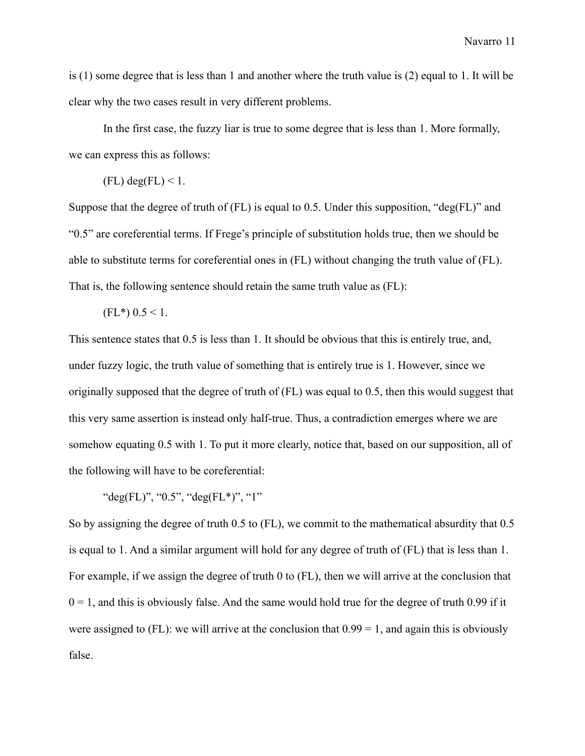is (1) some degree that is less than 1 and another where the truth value is (2) equal to 1. It will be clear why the two cases result in very different problems.

In the first case, the fuzzy liar is true to some degree that is less than 1. More formally, we can express this as follows:

 $(FL)$  deg $(FL)$  < 1.

Suppose that the degree of truth of  $(FL)$  is equal to 0.5. Under this supposition, "deg $(FL)$ " and "0.5" are coreferential terms. If Frege's principle of substitution holds true, then we should be able to substitute terms for coreferential ones in (FL) without changing the truth value of (FL). That is, the following sentence should retain the same truth value as (FL):

 $(FL*)$  0.5 < 1.

This sentence states that 0.5 is less than 1. It should be obvious that this is entirely true, and, under fuzzy logic, the truth value of something that is entirely true is 1. However, since we originally supposed that the degree of truth of (FL) was equal to 0.5, then this would suggest that this very same assertion is instead only half-true. Thus, a contradiction emerges where we are somehow equating 0.5 with 1. To put it more clearly, notice that, based on our supposition, all of the following will have to be coreferential:

"deg(FL)", "0.5", "deg(FL\*)", "1"

So by assigning the degree of truth 0.5 to (FL), we commit to the mathematical absurdity that 0.5 is equal to 1. And a similar argument will hold for any degree of truth of (FL) that is less than 1. For example, if we assign the degree of truth 0 to (FL), then we will arrive at the conclusion that  $0 = 1$ , and this is obviously false. And the same would hold true for the degree of truth 0.99 if it were assigned to  $(FL)$ : we will arrive at the conclusion that  $0.99 = 1$ , and again this is obviously false.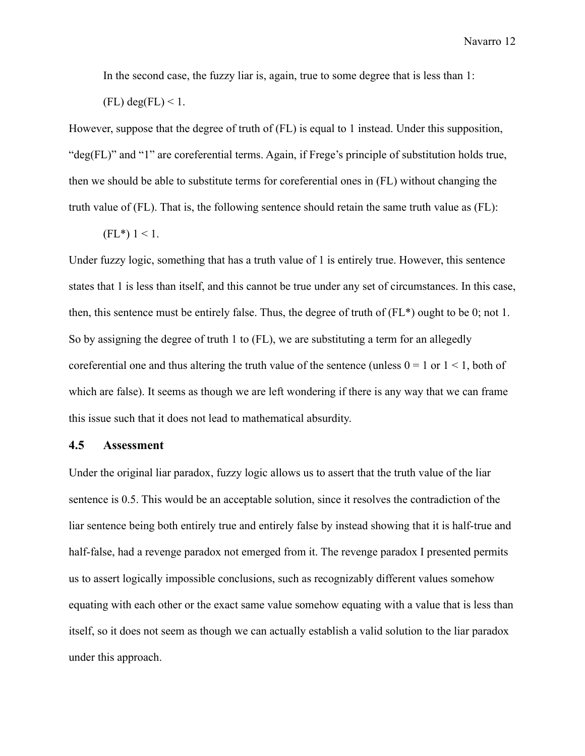In the second case, the fuzzy liar is, again, true to some degree that is less than 1:

 $(FL)$  deg $(FL)$  < 1.

However, suppose that the degree of truth of (FL) is equal to 1 instead. Under this supposition, "deg(FL)" and "1" are coreferential terms. Again, if Frege's principle of substitution holds true, then we should be able to substitute terms for coreferential ones in (FL) without changing the truth value of (FL). That is, the following sentence should retain the same truth value as (FL):

$$
(FL^*) 1 \leq 1.
$$

Under fuzzy logic, something that has a truth value of 1 is entirely true. However, this sentence states that 1 is less than itself, and this cannot be true under any set of circumstances. In this case, then, this sentence must be entirely false. Thus, the degree of truth of (FL\*) ought to be 0; not 1. So by assigning the degree of truth 1 to (FL), we are substituting a term for an allegedly coreferential one and thus altering the truth value of the sentence (unless  $0 = 1$  or  $1 \le 1$ , both of which are false). It seems as though we are left wondering if there is any way that we can frame this issue such that it does not lead to mathematical absurdity.

#### **4.5 Assessment**

Under the original liar paradox, fuzzy logic allows us to assert that the truth value of the liar sentence is 0.5. This would be an acceptable solution, since it resolves the contradiction of the liar sentence being both entirely true and entirely false by instead showing that it is half-true and half-false, had a revenge paradox not emerged from it. The revenge paradox I presented permits us to assert logically impossible conclusions, such as recognizably different values somehow equating with each other or the exact same value somehow equating with a value that is less than itself, so it does not seem as though we can actually establish a valid solution to the liar paradox under this approach.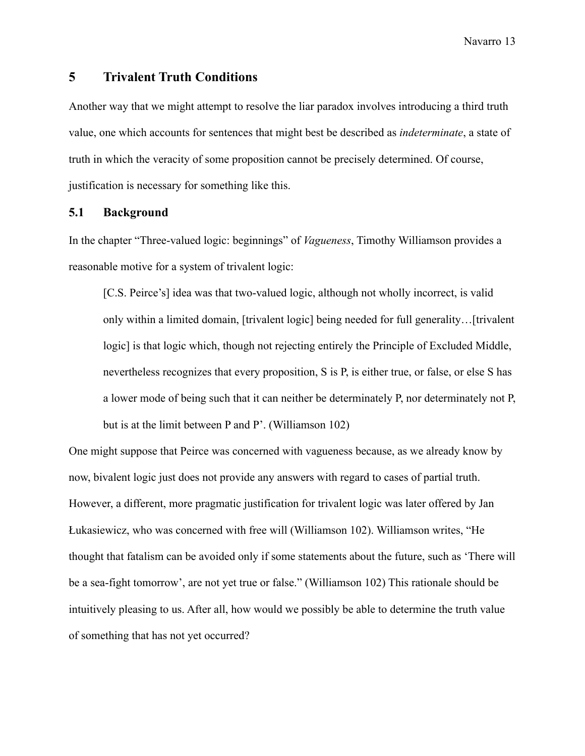### **5 Trivalent Truth Conditions**

Another way that we might attempt to resolve the liar paradox involves introducing a third truth value, one which accounts for sentences that might best be described as *indeterminate*, a state of truth in which the veracity of some proposition cannot be precisely determined. Of course, justification is necessary for something like this.

### **5.1 Background**

In the chapter "Three-valued logic: beginnings" of *Vagueness*, Timothy Williamson provides a reasonable motive for a system of trivalent logic:

[C.S. Peirce's] idea was that two-valued logic, although not wholly incorrect, is valid only within a limited domain, [trivalent logic] being needed for full generality…[trivalent logic] is that logic which, though not rejecting entirely the Principle of Excluded Middle, nevertheless recognizes that every proposition, S is P, is either true, or false, or else S has a lower mode of being such that it can neither be determinately P, nor determinately not P, but is at the limit between P and P'. (Williamson 102)

One might suppose that Peirce was concerned with vagueness because, as we already know by now, bivalent logic just does not provide any answers with regard to cases of partial truth. However, a different, more pragmatic justification for trivalent logic was later offered by Jan Łukasiewicz, who was concerned with free will (Williamson 102). Williamson writes, "He thought that fatalism can be avoided only if some statements about the future, such as 'There will be a sea-fight tomorrow', are not yet true or false." (Williamson 102) This rationale should be intuitively pleasing to us. After all, how would we possibly be able to determine the truth value of something that has not yet occurred?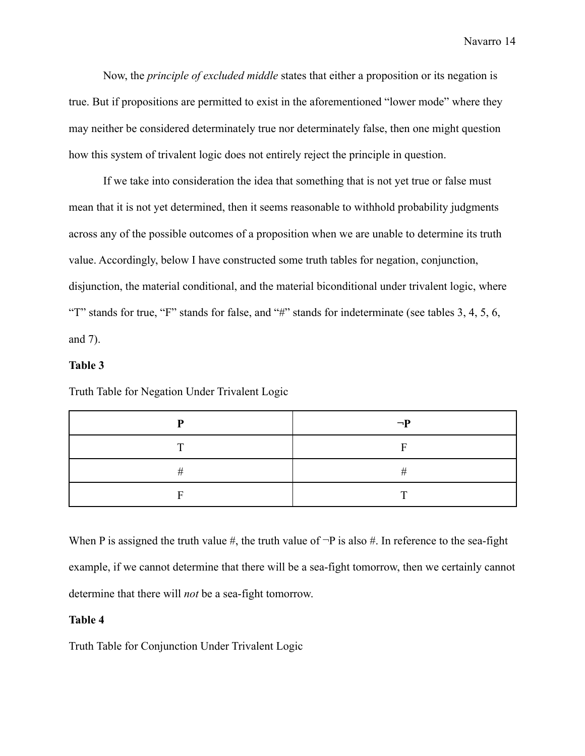Now, the *principle of excluded middle* states that either a proposition or its negation is true. But if propositions are permitted to exist in the aforementioned "lower mode" where they may neither be considered determinately true nor determinately false, then one might question how this system of trivalent logic does not entirely reject the principle in question.

If we take into consideration the idea that something that is not yet true or false must mean that it is not yet determined, then it seems reasonable to withhold probability judgments across any of the possible outcomes of a proposition when we are unable to determine its truth value. Accordingly, below I have constructed some truth tables for negation, conjunction, disjunction, the material conditional, and the material biconditional under trivalent logic, where "T" stands for true, "F" stands for false, and "#" stands for indeterminate (see tables 3, 4, 5, 6, and 7).

### **Table 3**

Truth Table for Negation Under Trivalent Logic

|   | $\neg P$ |
|---|----------|
| m |          |
|   |          |
|   |          |

When P is assigned the truth value  $\#$ , the truth value of  $\neg P$  is also  $\#$ . In reference to the sea-fight example, if we cannot determine that there will be a sea-fight tomorrow, then we certainly cannot determine that there will *not* be a sea-fight tomorrow.

### **Table 4**

Truth Table for Conjunction Under Trivalent Logic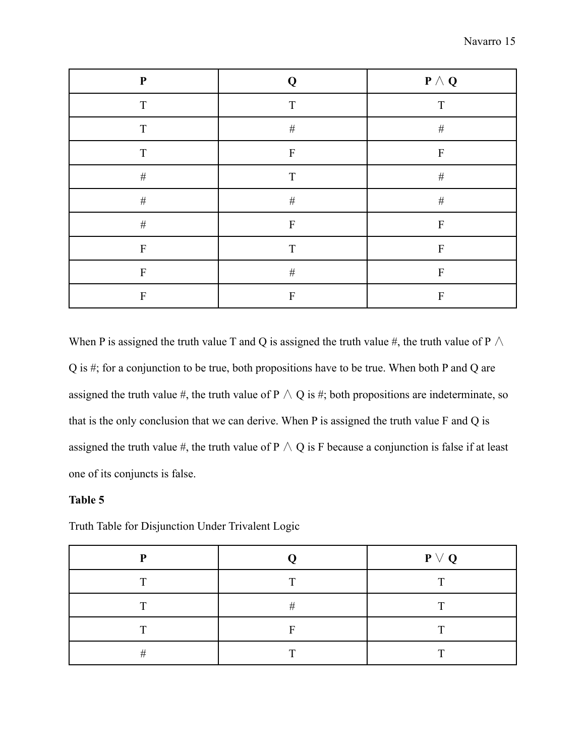| ${\bf P}$    | Q           | $\mathbf{P}\wedge \mathbf{Q}$ |
|--------------|-------------|-------------------------------|
| T            | T           | $\mathbf T$                   |
| $\mathbf T$  | $\#$        | $\#$                          |
| T            | ${\bf F}$   | $\mathbf F$                   |
| $\#$         | $\mathbf T$ | $\#$                          |
| $\#$         | $\#$        | $\#$                          |
| $\#$         | ${\bf F}$   | $\mathbf F$                   |
| F            | T           | $\mathbf{F}$                  |
| $\mathbf{F}$ | $\#$        | ${\bf F}$                     |
| $\mathbf{F}$ | ${\bf F}$   | F                             |

When P is assigned the truth value T and Q is assigned the truth value #, the truth value of P  $\land$ Q is #; for a conjunction to be true, both propositions have to be true. When both P and Q are assigned the truth value #, the truth value of P  $\wedge$  Q is #; both propositions are indeterminate, so that is the only conclusion that we can derive. When P is assigned the truth value F and Q is assigned the truth value #, the truth value of  $P \wedge Q$  is F because a conjunction is false if at least one of its conjuncts is false.

## **Table 5**

| D            |              | $P \vee Q$   |
|--------------|--------------|--------------|
| $\mathbf{T}$ | $\mathbf{T}$ | $\mathbf{r}$ |
| $\mathbf{r}$ | #            | $\mathbf{r}$ |
| $\mathbf{T}$ | E            | $\mathbf{T}$ |
| #            | $\mathbf{T}$ | $\mathbf{T}$ |
|              |              |              |

Truth Table for Disjunction Under Trivalent Logic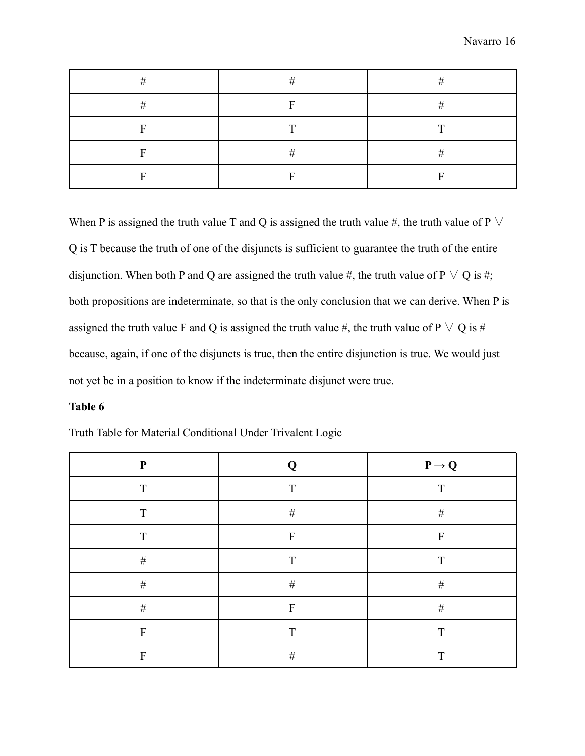|   | #<br>π         | -      |
|---|----------------|--------|
| π | Е              | -      |
| – | m              | Ē      |
|   | $^{\tau}$<br>π | π<br>π |
|   | −              |        |

When P is assigned the truth value T and Q is assigned the truth value #, the truth value of P  $\vee$ Q is T because the truth of one of the disjuncts is sufficient to guarantee the truth of the entire disjunction. When both P and Q are assigned the truth value #, the truth value of P  $\vee$  Q is #; both propositions are indeterminate, so that is the only conclusion that we can derive. When P is assigned the truth value F and Q is assigned the truth value #, the truth value of P  $\vee$  Q is # because, again, if one of the disjuncts is true, then the entire disjunction is true. We would just not yet be in a position to know if the indeterminate disjunct were true.

### **Table 6**

| $\mathbf P$               | Q            | $P \rightarrow Q$         |
|---------------------------|--------------|---------------------------|
| T                         | T            | T                         |
| T                         | $\#$         | $\#$                      |
| T                         | ${\bf F}$    | $\boldsymbol{\mathrm{F}}$ |
| $\#$                      | $\mathbf T$  | T                         |
| $\#$                      | $\#$         | $\#$                      |
| $\#$                      | $\mathbf{F}$ | $\#$                      |
| ${\bf F}$                 | T            | T                         |
| $\boldsymbol{\mathrm{F}}$ | $\#$         | T                         |

Truth Table for Material Conditional Under Trivalent Logic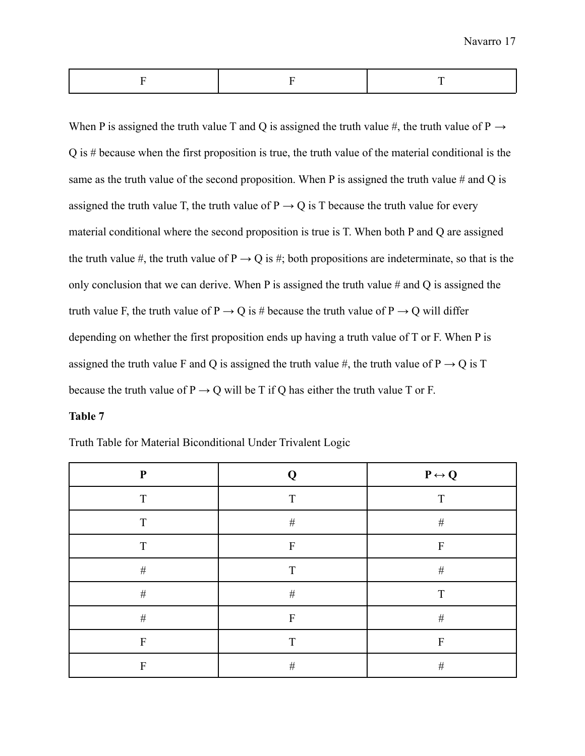When P is assigned the truth value T and Q is assigned the truth value  $\#$ , the truth value of P  $\rightarrow$ Q is # because when the first proposition is true, the truth value of the material conditional is the same as the truth value of the second proposition. When P is assigned the truth value  $#$  and Q is assigned the truth value T, the truth value of  $P \rightarrow Q$  is T because the truth value for every material conditional where the second proposition is true is T. When both P and Q are assigned the truth value #, the truth value of  $P \rightarrow Q$  is #; both propositions are indeterminate, so that is the only conclusion that we can derive. When P is assigned the truth value # and Q is assigned the truth value F, the truth value of  $P \rightarrow Q$  is # because the truth value of  $P \rightarrow Q$  will differ depending on whether the first proposition ends up having a truth value of T or F. When P is assigned the truth value F and Q is assigned the truth value  $\#$ , the truth value of P  $\rightarrow$  Q is T because the truth value of  $P \rightarrow Q$  will be T if Q has either the truth value T or F.

### **Table 7**

Truth Table for Material Biconditional Under Trivalent Logic

| ${\bf P}$    | Q                         | $P \leftrightarrow Q$ |
|--------------|---------------------------|-----------------------|
| T            | $\mathbf T$               | T                     |
| T            | $\#$                      | $\#$                  |
| T            | F                         | F                     |
| $\#$         | $\mathbf T$               | $\#$                  |
| $\#$         | $\#$                      | T                     |
| $\#$         | $\boldsymbol{\mathrm{F}}$ | $\#$                  |
| $\mathbf{F}$ | T                         | F                     |
| F            | $\#$                      | $\#$                  |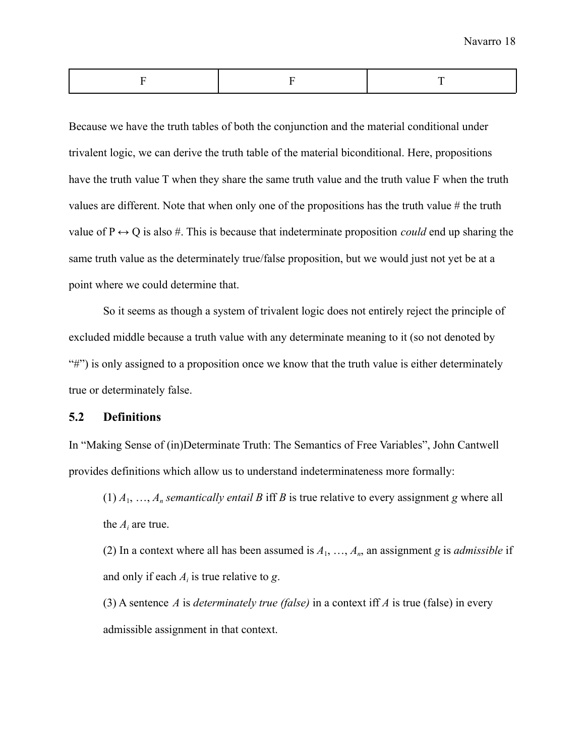Because we have the truth tables of both the conjunction and the material conditional under trivalent logic, we can derive the truth table of the material biconditional. Here, propositions have the truth value T when they share the same truth value and the truth value F when the truth values are different. Note that when only one of the propositions has the truth value  $#$  the truth value of  $P \leftrightarrow Q$  is also #. This is because that indeterminate proposition *could* end up sharing the same truth value as the determinately true/false proposition, but we would just not yet be at a point where we could determine that.

So it seems as though a system of trivalent logic does not entirely reject the principle of excluded middle because a truth value with any determinate meaning to it (so not denoted by "\"") is only assigned to a proposition once we know that the truth value is either determinately true or determinately false.

### **5.2 Definitions**

In "Making Sense of (in)Determinate Truth: The Semantics of Free Variables", John Cantwell provides definitions which allow us to understand indeterminateness more formally:

 $(1)$   $A_1, \ldots, A_n$  *semantically entail B* iff *B* is true relative to every assignment *g* where all the  $A_i$  are true.

(2) In a context where all has been assumed is  $A_1, \ldots, A_n$ , an assignment *g* is *admissible* if and only if each *A<sup>i</sup>* is true relative to *g*.

(3) A sentence *A* is *determinately true (false)* in a context iff *A* is true (false) in every admissible assignment in that context.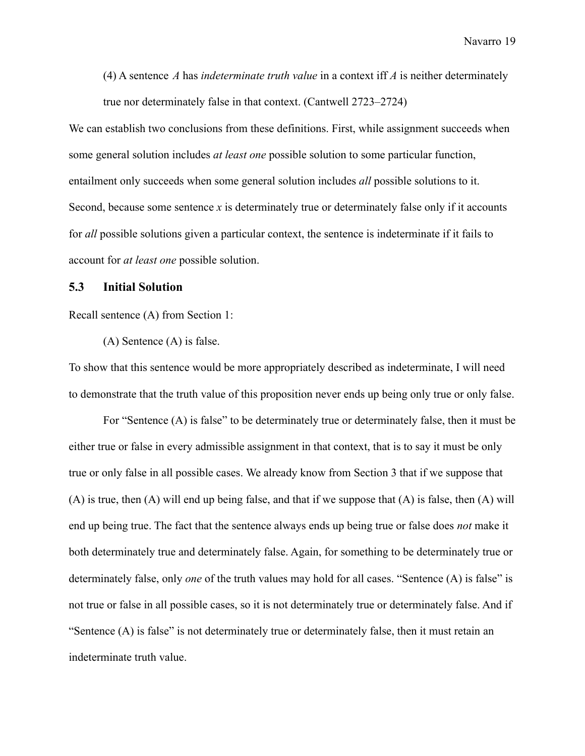(4) A sentence *A* has *indeterminate truth value* in a context iff *A* is neither determinately true nor determinately false in that context. (Cantwell 2723–2724)

We can establish two conclusions from these definitions. First, while assignment succeeds when some general solution includes *at least one* possible solution to some particular function, entailment only succeeds when some general solution includes *all* possible solutions to it. Second, because some sentence *x* is determinately true or determinately false only if it accounts for *all* possible solutions given a particular context, the sentence is indeterminate if it fails to account for *at least one* possible solution.

### **5.3 Initial Solution**

Recall sentence (A) from Section 1:

(A) Sentence (A) is false.

To show that this sentence would be more appropriately described as indeterminate, I will need to demonstrate that the truth value of this proposition never ends up being only true or only false.

For "Sentence (A) is false" to be determinately true or determinately false, then it must be either true or false in every admissible assignment in that context, that is to say it must be only true or only false in all possible cases. We already know from Section 3 that if we suppose that (A) is true, then (A) will end up being false, and that if we suppose that (A) is false, then (A) will end up being true. The fact that the sentence always ends up being true or false does *not* make it both determinately true and determinately false. Again, for something to be determinately true or determinately false, only *one* of the truth values may hold for all cases. "Sentence (A) is false" is not true or false in all possible cases, so it is not determinately true or determinately false. And if "Sentence (A) is false" is not determinately true or determinately false, then it must retain an indeterminate truth value.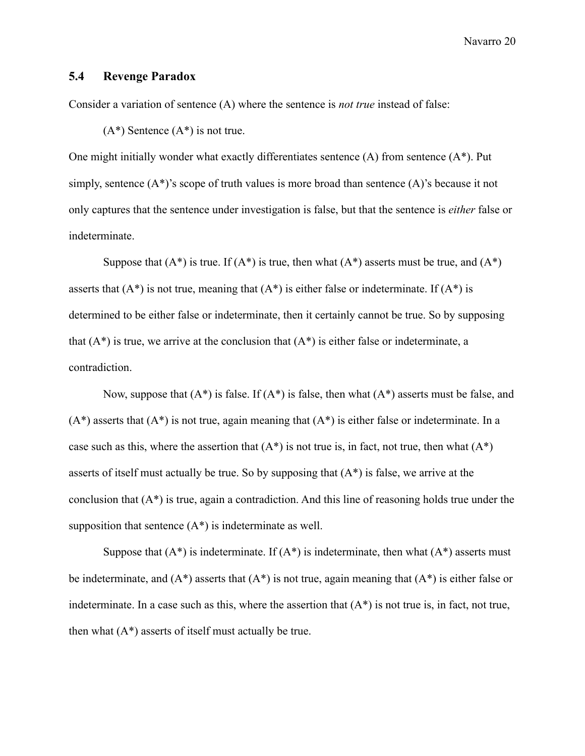### **5.4 Revenge Paradox**

Consider a variation of sentence (A) where the sentence is *not true* instead of false:

 $(A^*)$  Sentence  $(A^*)$  is not true.

One might initially wonder what exactly differentiates sentence (A) from sentence (A\*). Put simply, sentence (A\*)'s scope of truth values is more broad than sentence (A)'s because it not only captures that the sentence under investigation is false, but that the sentence is *either* false or indeterminate.

Suppose that  $(A^*)$  is true. If  $(A^*)$  is true, then what  $(A^*)$  asserts must be true, and  $(A^*)$ asserts that  $(A^*)$  is not true, meaning that  $(A^*)$  is either false or indeterminate. If  $(A^*)$  is determined to be either false or indeterminate, then it certainly cannot be true. So by supposing that  $(A^*)$  is true, we arrive at the conclusion that  $(A^*)$  is either false or indeterminate, a contradiction.

Now, suppose that  $(A^*)$  is false. If  $(A^*)$  is false, then what  $(A^*)$  asserts must be false, and  $(A^*)$  asserts that  $(A^*)$  is not true, again meaning that  $(A^*)$  is either false or indeterminate. In a case such as this, where the assertion that  $(A^*)$  is not true is, in fact, not true, then what  $(A^*)$ asserts of itself must actually be true. So by supposing that  $(A^*)$  is false, we arrive at the conclusion that (A\*) is true, again a contradiction. And this line of reasoning holds true under the supposition that sentence  $(A^*)$  is indeterminate as well.

Suppose that  $(A^*)$  is indeterminate. If  $(A^*)$  is indeterminate, then what  $(A^*)$  asserts must be indeterminate, and  $(A^*)$  asserts that  $(A^*)$  is not true, again meaning that  $(A^*)$  is either false or indeterminate. In a case such as this, where the assertion that  $(A^*)$  is not true is, in fact, not true, then what  $(A^*)$  asserts of itself must actually be true.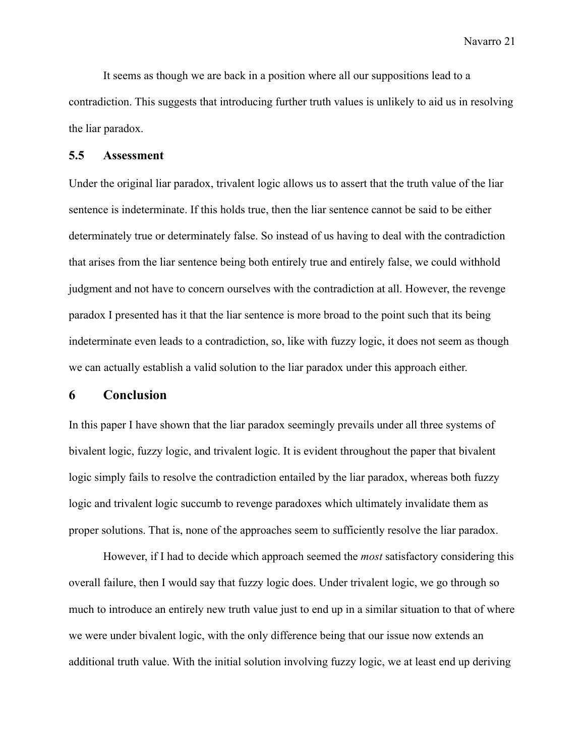It seems as though we are back in a position where all our suppositions lead to a contradiction. This suggests that introducing further truth values is unlikely to aid us in resolving the liar paradox.

### **5.5 Assessment**

Under the original liar paradox, trivalent logic allows us to assert that the truth value of the liar sentence is indeterminate. If this holds true, then the liar sentence cannot be said to be either determinately true or determinately false. So instead of us having to deal with the contradiction that arises from the liar sentence being both entirely true and entirely false, we could withhold judgment and not have to concern ourselves with the contradiction at all. However, the revenge paradox I presented has it that the liar sentence is more broad to the point such that its being indeterminate even leads to a contradiction, so, like with fuzzy logic, it does not seem as though we can actually establish a valid solution to the liar paradox under this approach either.

# **6 Conclusion**

In this paper I have shown that the liar paradox seemingly prevails under all three systems of bivalent logic, fuzzy logic, and trivalent logic. It is evident throughout the paper that bivalent logic simply fails to resolve the contradiction entailed by the liar paradox, whereas both fuzzy logic and trivalent logic succumb to revenge paradoxes which ultimately invalidate them as proper solutions. That is, none of the approaches seem to sufficiently resolve the liar paradox.

However, if I had to decide which approach seemed the *most* satisfactory considering this overall failure, then I would say that fuzzy logic does. Under trivalent logic, we go through so much to introduce an entirely new truth value just to end up in a similar situation to that of where we were under bivalent logic, with the only difference being that our issue now extends an additional truth value. With the initial solution involving fuzzy logic, we at least end up deriving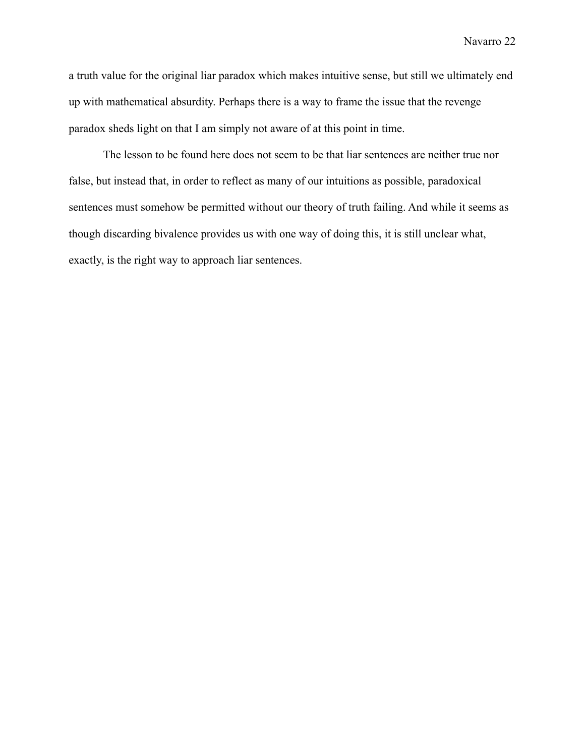a truth value for the original liar paradox which makes intuitive sense, but still we ultimately end up with mathematical absurdity. Perhaps there is a way to frame the issue that the revenge paradox sheds light on that I am simply not aware of at this point in time.

The lesson to be found here does not seem to be that liar sentences are neither true nor false, but instead that, in order to reflect as many of our intuitions as possible, paradoxical sentences must somehow be permitted without our theory of truth failing. And while it seems as though discarding bivalence provides us with one way of doing this, it is still unclear what, exactly, is the right way to approach liar sentences.